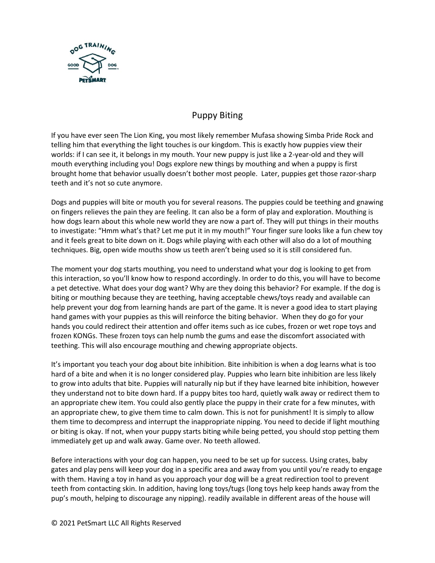

## Puppy Biting

If you have ever seen The Lion King, you most likely remember Mufasa showing Simba Pride Rock and telling him that everything the light touches is our kingdom. This is exactly how puppies view their worlds: if I can see it, it belongs in my mouth. Your new puppy is just like a 2-year-old and they will mouth everything including you! Dogs explore new things by mouthing and when a puppy is first brought home that behavior usually doesn't bother most people. Later, puppies get those razor-sharp teeth and it's not so cute anymore.

Dogs and puppies will bite or mouth you for several reasons. The puppies could be teething and gnawing on fingers relieves the pain they are feeling. It can also be a form of play and exploration. Mouthing is how dogs learn about this whole new world they are now a part of. They will put things in their mouths to investigate: "Hmm what's that? Let me put it in my mouth!" Your finger sure looks like a fun chew toy and it feels great to bite down on it. Dogs while playing with each other will also do a lot of mouthing techniques. Big, open wide mouths show us teeth aren't being used so it is still considered fun.

The moment your dog starts mouthing, you need to understand what your dog is looking to get from this interaction, so you'll know how to respond accordingly. In order to do this, you will have to become a pet detective. What does your dog want? Why are they doing this behavior? For example. If the dog is biting or mouthing because they are teething, having acceptable chews/toys ready and available can help prevent your dog from learning hands are part of the game. It is never a good idea to start playing hand games with your puppies as this will reinforce the biting behavior. When they do go for your hands you could redirect their attention and offer items such as ice cubes, frozen or wet rope toys and frozen KONGs. These frozen toys can help numb the gums and ease the discomfort associated with teething. This will also encourage mouthing and chewing appropriate objects.

It's important you teach your dog about bite inhibition. Bite inhibition is when a dog learns what is too hard of a bite and when it is no longer considered play. Puppies who learn bite inhibition are less likely to grow into adults that bite. Puppies will naturally nip but if they have learned bite inhibition, however they understand not to bite down hard. If a puppy bites too hard, quietly walk away or redirect them to an appropriate chew item. You could also gently place the puppy in their crate for a few minutes, with an appropriate chew, to give them time to calm down. This is not for punishment! It is simply to allow them time to decompress and interrupt the inappropriate nipping. You need to decide if light mouthing or biting is okay. If not, when your puppy starts biting while being petted, you should stop petting them immediately get up and walk away. Game over. No teeth allowed.

Before interactions with your dog can happen, you need to be set up for success. Using crates, baby gates and play pens will keep your dog in a specific area and away from you until you're ready to engage with them. Having a toy in hand as you approach your dog will be a great redirection tool to prevent teeth from contacting skin. In addition, having long toys/tugs (long toys help keep hands away from the pup's mouth, helping to discourage any nipping). readily available in different areas of the house will